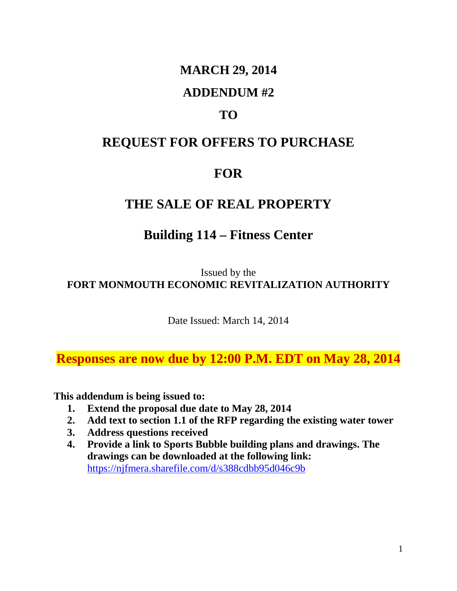#### **MARCH 29, 2014**

#### **ADDENDUM #2**

## **TO**

### **REQUEST FOR OFFERS TO PURCHASE**

# **FOR**

### **THE SALE OF REAL PROPERTY**

## **Building 114 – Fitness Center**

Issued by the **FORT MONMOUTH ECONOMIC REVITALIZATION AUTHORITY**

Date Issued: March 14, 2014

**Responses are now due by 12:00 P.M. EDT on May 28, 2014**

**This addendum is being issued to:**

- **1. Extend the proposal due date to May 28, 2014**
- **2. Add text to section 1.1 of the RFP regarding the existing water tower**
- **3. Address questions received**
- **4. Provide a link to Sports Bubble building plans and drawings. The drawings can be downloaded at the following link:** <https://njfmera.sharefile.com/d/s388cdbb95d046c9b>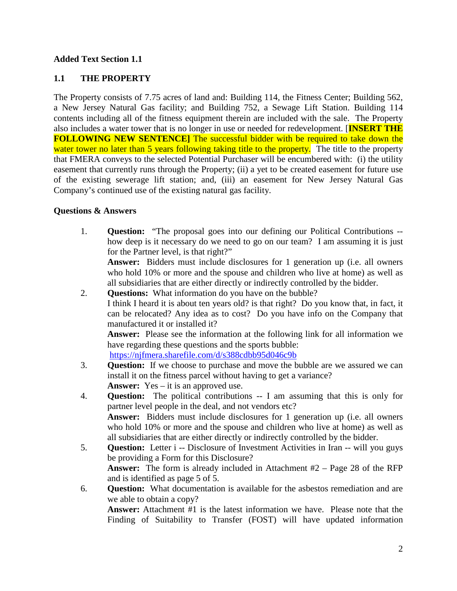#### **Added Text Section 1.1**

#### **1.1 THE PROPERTY**

The Property consists of 7.75 acres of land and: Building 114, the Fitness Center; Building 562, a New Jersey Natural Gas facility; and Building 752, a Sewage Lift Station. Building 114 contents including all of the fitness equipment therein are included with the sale. The Property also includes a water tower that is no longer in use or needed for redevelopment. [**INSERT THE FOLLOWING NEW SENTENCE]** The successful bidder with be required to take down the water tower no later than 5 years following taking title to the property. The title to the property that FMERA conveys to the selected Potential Purchaser will be encumbered with: (i) the utility easement that currently runs through the Property; (ii) a yet to be created easement for future use of the existing sewerage lift station; and, (iii) an easement for New Jersey Natural Gas Company's continued use of the existing natural gas facility.

#### **Questions & Answers**

1. **Question:** "The proposal goes into our defining our Political Contributions - how deep is it necessary do we need to go on our team? I am assuming it is just for the Partner level, is that right?"

**Answer:** Bidders must include disclosures for 1 generation up (i.e. all owners who hold 10% or more and the spouse and children who live at home) as well as all subsidiaries that are either directly or indirectly controlled by the bidder.

2. **Questions:** What information do you have on the bubble? I think I heard it is about ten years old? is that right? Do you know that, in fact, it can be relocated? Any idea as to cost? Do you have info on the Company that manufactured it or installed it?

**Answer:** Please see the information at the following link for all information we have regarding these questions and the sports bubble:

<https://njfmera.sharefile.com/d/s388cdbb95d046c9b>

- 3. **Question:** If we choose to purchase and move the bubble are we assured we can install it on the fitness parcel without having to get a variance? **Answer:** Yes – it is an approved use.
- 4. **Question:** The political contributions -- I am assuming that this is only for partner level people in the deal, and not vendors etc? **Answer:** Bidders must include disclosures for 1 generation up (i.e. all owners who hold 10% or more and the spouse and children who live at home) as well as all subsidiaries that are either directly or indirectly controlled by the bidder.
- 5. **Question:** Letter i -- Disclosure of Investment Activities in Iran -- will you guys be providing a Form for this Disclosure? **Answer:** The form is already included in Attachment #2 – Page 28 of the RFP and is identified as page 5 of 5.
- 6. **Question:** What documentation is available for the asbestos remediation and are we able to obtain a copy?

**Answer:** Attachment #1 is the latest information we have. Please note that the Finding of Suitability to Transfer (FOST) will have updated information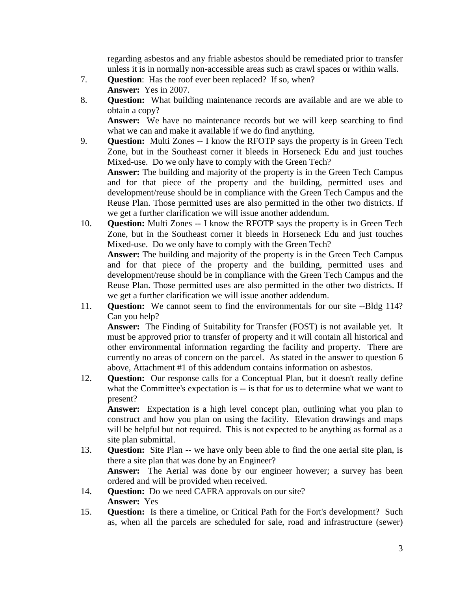regarding asbestos and any friable asbestos should be remediated prior to transfer unless it is in normally non-accessible areas such as crawl spaces or within walls.

- 7. **Question**: Has the roof ever been replaced? If so, when? **Answer:** Yes in 2007.
- 8. **Question:** What building maintenance records are available and are we able to obtain a copy?

Answer: We have no maintenance records but we will keep searching to find what we can and make it available if we do find anything.

9. **Question:** Multi Zones -- I know the RFOTP says the property is in Green Tech Zone, but in the Southeast corner it bleeds in Horseneck Edu and just touches Mixed-use. Do we only have to comply with the Green Tech? **Answer:** The building and majority of the property is in the Green Tech Campus and for that piece of the property and the building, permitted uses and development/reuse should be in compliance with the Green Tech Campus and the Reuse Plan. Those permitted uses are also permitted in the other two districts. If

we get a further clarification we will issue another addendum.

10. **Question:** Multi Zones -- I know the RFOTP says the property is in Green Tech Zone, but in the Southeast corner it bleeds in Horseneck Edu and just touches Mixed-use. Do we only have to comply with the Green Tech?

**Answer:** The building and majority of the property is in the Green Tech Campus and for that piece of the property and the building, permitted uses and development/reuse should be in compliance with the Green Tech Campus and the Reuse Plan. Those permitted uses are also permitted in the other two districts. If we get a further clarification we will issue another addendum.

11. **Question:** We cannot seem to find the environmentals for our site --Bldg 114? Can you help?

**Answer:** The Finding of Suitability for Transfer (FOST) is not available yet. It must be approved prior to transfer of property and it will contain all historical and other environmental information regarding the facility and property. There are currently no areas of concern on the parcel. As stated in the answer to question 6 above, Attachment #1 of this addendum contains information on asbestos.

12. **Question:** Our response calls for a Conceptual Plan, but it doesn't really define what the Committee's expectation is -- is that for us to determine what we want to present?

**Answer:** Expectation is a high level concept plan, outlining what you plan to construct and how you plan on using the facility. Elevation drawings and maps will be helpful but not required. This is not expected to be anything as formal as a site plan submittal.

- 13. **Question:** Site Plan -- we have only been able to find the one aerial site plan, is there a site plan that was done by an Engineer? **Answer:** The Aerial was done by our engineer however; a survey has been ordered and will be provided when received.
- 14. **Question:** Do we need CAFRA approvals on our site? **Answer:** Yes
- 15. **Question:** Is there a timeline, or Critical Path for the Fort's development? Such as, when all the parcels are scheduled for sale, road and infrastructure (sewer)